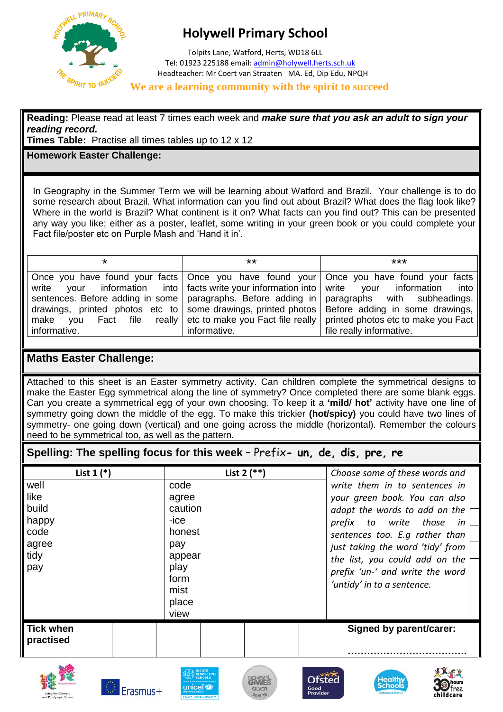

## **Holywell Primary School**

 Tolpits Lane, Watford, Herts, WD18 6LL Tel: 01923 225188 email[: admin@holywell.herts.sch.uk](mailto:admin@holywell.herts.sch.uk) Headteacher: Mr Coert van Straaten MA. Ed, Dip Edu, NPQH

## **We are a learning community with the spirit to succeed**

**Reading:** Please read at least 7 times each week and *make sure that you ask an adult to sign your reading record.*

**Times Table:** Practise all times tables up to 12 x 12

## **Homework Easter Challenge:**

In Geography in the Summer Term we will be learning about Watford and Brazil. Your challenge is to do some research about Brazil. What information can you find out about Brazil? What does the flag look like? Where in the world is Brazil? What continent is it on? What facts can you find out? This can be presented any way you like; either as a poster, leaflet, some writing in your green book or you could complete your Fact file/poster etc on Purple Mash and 'Hand it in'.

| *             | **                                                                                        | ***                                                                                             |
|---------------|-------------------------------------------------------------------------------------------|-------------------------------------------------------------------------------------------------|
|               |                                                                                           |                                                                                                 |
|               |                                                                                           | Once you have found your facts   Once you have found your   Once you have found your facts      |
| write<br>vour | information into $\vert$ facts write your information into $\vert$ write your information | into I                                                                                          |
|               |                                                                                           | sentences. Before adding in some   paragraphs. Before adding in   paragraphs with subheadings.  |
|               |                                                                                           | drawings, printed photos etc to some drawings, printed photos   Before adding in some drawings, |
| make you      |                                                                                           | Fact file really etc to make you Fact file really printed photos etc to make you Fact           |
| informative.  | informative.                                                                              | file really informative.                                                                        |

## **Maths Easter Challenge:**

Attached to this sheet is an Easter symmetry activity. Can children complete the symmetrical designs to make the Easter Egg symmetrical along the line of symmetry? Once completed there are some blank eggs. Can you create a symmetrical egg of your own choosing. To keep it a **'mild/ hot'** activity have one line of symmetry going down the middle of the egg. To make this trickier **(hot/spicy)** you could have two lines of symmetry- one going down (vertical) and one going across the middle (horizontal). Remember the colours need to be symmetrical too, as well as the pattern.

**Spelling: The spelling focus for this week** – Prefix**- un, de, dis, pre, re**

| List $1$ $(*)$   | List $2$ (**)                | Choose some of these words and   |
|------------------|------------------------------|----------------------------------|
| well             | code                         | write them in to sentences in    |
| like             | agree                        | your green book. You can also    |
| build            | caution                      | adapt the words to add on the    |
| happy            | -ice                         | prefix to write those<br>in.     |
| code             | honest                       | sentences too. E.g rather than   |
| agree            | pay                          | just taking the word 'tidy' from |
| tidy             | appear                       | the list, you could add on the   |
| pay              | play                         | prefix 'un-' and write the word  |
|                  | form                         | 'untidy' in to a sentence.       |
|                  | mist                         |                                  |
|                  | place                        |                                  |
|                  | view                         |                                  |
| <b>Tick when</b> |                              | Signed by parent/carer:          |
| practised        |                              |                                  |
|                  |                              |                                  |
|                  | <b>RIGHTS<br/>RESPECTING</b> |                                  |